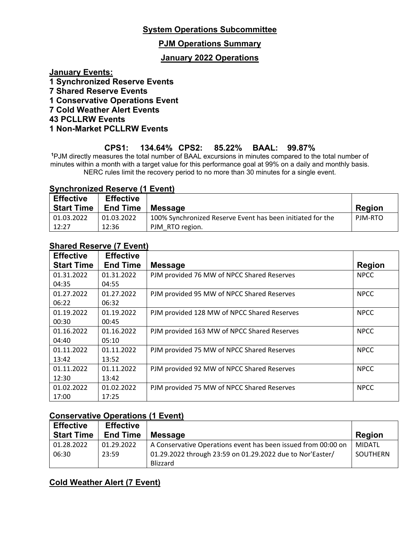### **PJM Operations Summary**

### **January 2022 Operations**

**January Events:**

- **1 Synchronized Reserve Events**
- **7 Shared Reserve Events**
- **1 Conservative Operations Event**
- **7 Cold Weather Alert Events**

#### **43 PCLLRW Events**

**1 Non-Market PCLLRW Events**

### **CPS1: 134.64% CPS2: 85.22% BAAL: 99.87%**

**<sup>1</sup>**PJM directly measures the total number of BAAL excursions in minutes compared to the total number of minutes within a month with a target value for this performance goal at 99% on a daily and monthly basis. NERC rules limit the recovery period to no more than 30 minutes for a single event.

### **Synchronized Reserve (1 Event)**

| <b>Effective</b><br><b>Start Time</b> | <b>Effective</b><br><b>End Time</b> | <b>Message</b>                                             | <b>Region</b> |
|---------------------------------------|-------------------------------------|------------------------------------------------------------|---------------|
| 01.03.2022                            | 01.03.2022                          | 100% Synchronized Reserve Event has been initiated for the | PJM-RTO       |
| 12:27                                 | 12:36                               | PJM RTO region.                                            |               |

### **Shared Reserve (7 Event)**

| <b>Effective</b>  | <b>Effective</b> |                                             |               |
|-------------------|------------------|---------------------------------------------|---------------|
| <b>Start Time</b> | <b>End Time</b>  | <b>Message</b>                              | <b>Region</b> |
| 01.31.2022        | 01.31.2022       | PJM provided 76 MW of NPCC Shared Reserves  | <b>NPCC</b>   |
| 04:35             | 04:55            |                                             |               |
| 01.27.2022        | 01.27.2022       | PJM provided 95 MW of NPCC Shared Reserves  | <b>NPCC</b>   |
| 06:22             | 06:32            |                                             |               |
| 01.19.2022        | 01.19.2022       | PJM provided 128 MW of NPCC Shared Reserves | <b>NPCC</b>   |
| 00:30             | 00:45            |                                             |               |
| 01.16.2022        | 01.16.2022       | PJM provided 163 MW of NPCC Shared Reserves | <b>NPCC</b>   |
| 04:40             | 05:10            |                                             |               |
| 01.11.2022        | 01.11.2022       | PJM provided 75 MW of NPCC Shared Reserves  | <b>NPCC</b>   |
| 13:42             | 13:52            |                                             |               |
| 01.11.2022        | 01.11.2022       | PJM provided 92 MW of NPCC Shared Reserves  | <b>NPCC</b>   |
| 12:30             | 13:42            |                                             |               |
| 01.02.2022        | 01.02.2022       | PJM provided 75 MW of NPCC Shared Reserves  | <b>NPCC</b>   |
| 17:00             | 17:25            |                                             |               |

### **Conservative Operations (1 Event)**

| <b>Effective</b>  | <b>Effective</b> |                                                               |               |
|-------------------|------------------|---------------------------------------------------------------|---------------|
| <b>Start Time</b> | <b>End Time</b>  | <b>Message</b>                                                | <b>Region</b> |
| 01.28.2022        | 01.29.2022       | A Conservative Operations event has been issued from 00:00 on | MIDATL        |
| 06:30             | 23:59            | 01.29.2022 through 23:59 on 01.29.2022 due to Nor'Easter/     | SOUTHERN      |
|                   |                  | Blizzard                                                      |               |

### **Cold Weather Alert (7 Event)**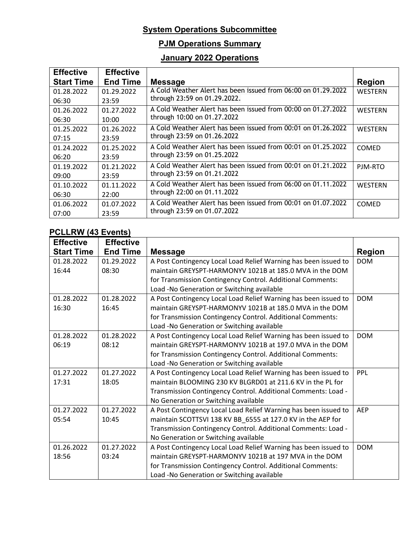# **PJM Operations Summary**

# **January 2022 Operations**

| <b>Effective</b>  | <b>Effective</b> |                                                               |                |
|-------------------|------------------|---------------------------------------------------------------|----------------|
| <b>Start Time</b> | <b>End Time</b>  | <b>Message</b>                                                | <b>Region</b>  |
| 01.28.2022        | 01.29.2022       | A Cold Weather Alert has been issued from 06:00 on 01.29.2022 | WESTERN        |
| 06:30             | 23:59            | through 23:59 on 01.29.2022.                                  |                |
| 01.26.2022        | 01.27.2022       | A Cold Weather Alert has been issued from 00:00 on 01.27.2022 | WESTERN        |
| 06:30             | 10:00            | through 10:00 on 01.27.2022                                   |                |
| 01.25.2022        | 01.26.2022       | A Cold Weather Alert has been issued from 00:01 on 01.26.2022 | WESTERN        |
| 07:15             | 23:59            | through 23:59 on 01.26.2022                                   |                |
| 01.24.2022        | 01.25.2022       | A Cold Weather Alert has been issued from 00:01 on 01.25.2022 | <b>COMED</b>   |
| 06:20             | 23:59            | through 23:59 on 01.25.2022                                   |                |
| 01.19.2022        | 01.21.2022       | A Cold Weather Alert has been issued from 00:01 on 01.21.2022 | PJM-RTO        |
| 09:00             | 23:59            | through 23:59 on 01.21.2022                                   |                |
| 01.10.2022        | 01.11.2022       | A Cold Weather Alert has been issued from 06:00 on 01.11.2022 | <b>WESTERN</b> |
| 06:30             | 22:00            | through 22:00 on 01.11.2022                                   |                |
| 01.06.2022        | 01.07.2022       | A Cold Weather Alert has been issued from 00:01 on 01.07.2022 | <b>COMED</b>   |
| 07:00             | 23:59            | through 23:59 on 01.07.2022                                   |                |

### **PCLLRW (43 Events)**

| <b>Effective</b>  | <b>Effective</b> |                                                                 |               |
|-------------------|------------------|-----------------------------------------------------------------|---------------|
| <b>Start Time</b> | <b>End Time</b>  | <b>Message</b>                                                  | <b>Region</b> |
| 01.28.2022        | 01.29.2022       | A Post Contingency Local Load Relief Warning has been issued to | <b>DOM</b>    |
| 16:44             | 08:30            | maintain GREYSPT-HARMONYV 1021B at 185.0 MVA in the DOM         |               |
|                   |                  | for Transmission Contingency Control. Additional Comments:      |               |
|                   |                  | Load -No Generation or Switching available                      |               |
| 01.28.2022        | 01.28.2022       | A Post Contingency Local Load Relief Warning has been issued to | <b>DOM</b>    |
| 16:30             | 16:45            | maintain GREYSPT-HARMONYV 1021B at 185.0 MVA in the DOM         |               |
|                   |                  | for Transmission Contingency Control. Additional Comments:      |               |
|                   |                  | Load -No Generation or Switching available                      |               |
| 01.28.2022        | 01.28.2022       | A Post Contingency Local Load Relief Warning has been issued to | <b>DOM</b>    |
| 06:19             | 08:12            | maintain GREYSPT-HARMONYV 1021B at 197.0 MVA in the DOM         |               |
|                   |                  | for Transmission Contingency Control. Additional Comments:      |               |
|                   |                  | Load -No Generation or Switching available                      |               |
| 01.27.2022        | 01.27.2022       | A Post Contingency Local Load Relief Warning has been issued to | PPL           |
| 17:31             | 18:05            | maintain BLOOMING 230 KV BLGRD01 at 211.6 KV in the PL for      |               |
|                   |                  | Transmission Contingency Control. Additional Comments: Load -   |               |
|                   |                  | No Generation or Switching available                            |               |
| 01.27.2022        | 01.27.2022       | A Post Contingency Local Load Relief Warning has been issued to | <b>AEP</b>    |
| 05:54             | 10:45            | maintain SCOTTSVI 138 KV BB_6555 at 127.0 KV in the AEP for     |               |
|                   |                  | Transmission Contingency Control. Additional Comments: Load -   |               |
|                   |                  | No Generation or Switching available                            |               |
| 01.26.2022        | 01.27.2022       | A Post Contingency Local Load Relief Warning has been issued to | <b>DOM</b>    |
| 18:56             | 03:24            | maintain GREYSPT-HARMONYV 1021B at 197 MVA in the DOM           |               |
|                   |                  | for Transmission Contingency Control. Additional Comments:      |               |
|                   |                  | Load -No Generation or Switching available                      |               |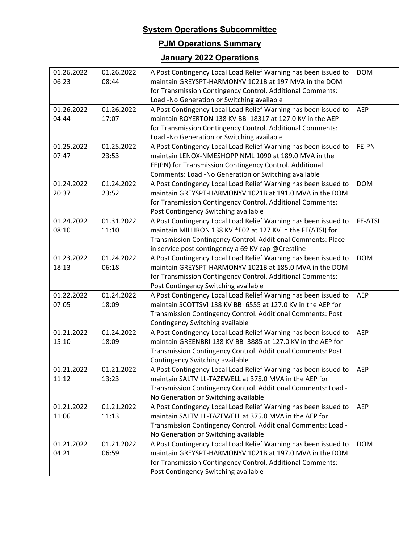# **PJM Operations Summary**

# **January 2022 Operations**

| 01.26.2022 | 01.26.2022 | A Post Contingency Local Load Relief Warning has been issued to | <b>DOM</b>     |
|------------|------------|-----------------------------------------------------------------|----------------|
| 06:23      | 08:44      | maintain GREYSPT-HARMONYV 1021B at 197 MVA in the DOM           |                |
|            |            | for Transmission Contingency Control. Additional Comments:      |                |
|            |            | Load -No Generation or Switching available                      |                |
| 01.26.2022 | 01.26.2022 | A Post Contingency Local Load Relief Warning has been issued to | AEP            |
| 04:44      | 17:07      | maintain ROYERTON 138 KV BB_18317 at 127.0 KV in the AEP        |                |
|            |            | for Transmission Contingency Control. Additional Comments:      |                |
|            |            | Load -No Generation or Switching available                      |                |
| 01.25.2022 | 01.25.2022 | A Post Contingency Local Load Relief Warning has been issued to | FE-PN          |
| 07:47      | 23:53      | maintain LENOX-NMESHOPP NML 1090 at 189.0 MVA in the            |                |
|            |            | FE(PN) for Transmission Contingency Control. Additional         |                |
|            |            | Comments: Load -No Generation or Switching available            |                |
| 01.24.2022 | 01.24.2022 | A Post Contingency Local Load Relief Warning has been issued to | <b>DOM</b>     |
| 20:37      | 23:52      | maintain GREYSPT-HARMONYV 1021B at 191.0 MVA in the DOM         |                |
|            |            | for Transmission Contingency Control. Additional Comments:      |                |
|            |            | Post Contingency Switching available                            |                |
| 01.24.2022 | 01.31.2022 | A Post Contingency Local Load Relief Warning has been issued to | <b>FE-ATSI</b> |
| 08:10      | 11:10      | maintain MILLIRON 138 KV *E02 at 127 KV in the FE(ATSI) for     |                |
|            |            | Transmission Contingency Control. Additional Comments: Place    |                |
|            |            | in service post contingency a 69 KV cap @Crestline              |                |
| 01.23.2022 | 01.24.2022 | A Post Contingency Local Load Relief Warning has been issued to | <b>DOM</b>     |
| 18:13      | 06:18      | maintain GREYSPT-HARMONYV 1021B at 185.0 MVA in the DOM         |                |
|            |            | for Transmission Contingency Control. Additional Comments:      |                |
|            |            | Post Contingency Switching available                            |                |
| 01.22.2022 | 01.24.2022 | A Post Contingency Local Load Relief Warning has been issued to | <b>AEP</b>     |
| 07:05      | 18:09      | maintain SCOTTSVI 138 KV BB_6555 at 127.0 KV in the AEP for     |                |
|            |            | Transmission Contingency Control. Additional Comments: Post     |                |
|            |            | Contingency Switching available                                 |                |
| 01.21.2022 | 01.24.2022 | A Post Contingency Local Load Relief Warning has been issued to | AEP            |
| 15:10      | 18:09      | maintain GREENBRI 138 KV BB 3885 at 127.0 KV in the AEP for     |                |
|            |            | Transmission Contingency Control. Additional Comments: Post     |                |
|            |            | Contingency Switching available                                 |                |
| 01.21.2022 | 01.21.2022 | A Post Contingency Local Load Relief Warning has been issued to | <b>AEP</b>     |
| 11:12      | 13:23      | maintain SALTVILL-TAZEWELL at 375.0 MVA in the AEP for          |                |
|            |            | Transmission Contingency Control. Additional Comments: Load -   |                |
|            |            | No Generation or Switching available                            |                |
| 01.21.2022 | 01.21.2022 | A Post Contingency Local Load Relief Warning has been issued to | <b>AEP</b>     |
| 11:06      | 11:13      | maintain SALTVILL-TAZEWELL at 375.0 MVA in the AEP for          |                |
|            |            | Transmission Contingency Control. Additional Comments: Load -   |                |
|            |            | No Generation or Switching available                            |                |
| 01.21.2022 | 01.21.2022 | A Post Contingency Local Load Relief Warning has been issued to | <b>DOM</b>     |
| 04:21      | 06:59      | maintain GREYSPT-HARMONYV 1021B at 197.0 MVA in the DOM         |                |
|            |            | for Transmission Contingency Control. Additional Comments:      |                |
|            |            | Post Contingency Switching available                            |                |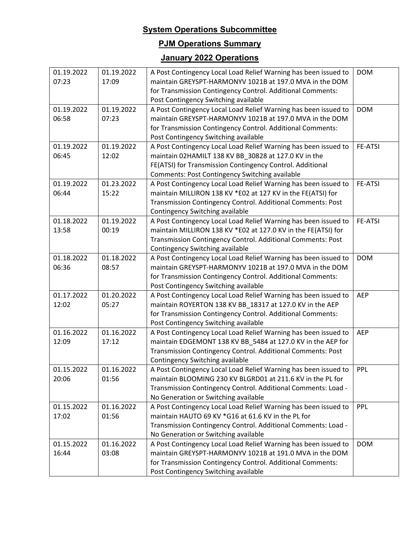# **PJM Operations Summary**

# **January 2022 Operations**

| 01.19.2022 | 01.19.2022 | A Post Contingency Local Load Relief Warning has been issued to | <b>DOM</b>     |
|------------|------------|-----------------------------------------------------------------|----------------|
| 07:23      | 17:09      | maintain GREYSPT-HARMONYV 1021B at 197.0 MVA in the DOM         |                |
|            |            | for Transmission Contingency Control. Additional Comments:      |                |
|            |            | Post Contingency Switching available                            |                |
| 01.19.2022 | 01.19.2022 | A Post Contingency Local Load Relief Warning has been issued to | <b>DOM</b>     |
| 06:58      | 07:23      | maintain GREYSPT-HARMONYV 1021B at 197.0 MVA in the DOM         |                |
|            |            | for Transmission Contingency Control. Additional Comments:      |                |
|            |            | Post Contingency Switching available                            |                |
| 01.19.2022 | 01.19.2022 | A Post Contingency Local Load Relief Warning has been issued to | <b>FE-ATSI</b> |
| 06:45      | 12:02      | maintain 02HAMILT 138 KV BB_30828 at 127.0 KV in the            |                |
|            |            | FE(ATSI) for Transmission Contingency Control. Additional       |                |
|            |            | Comments: Post Contingency Switching available                  |                |
| 01.19.2022 | 01.23.2022 | A Post Contingency Local Load Relief Warning has been issued to | <b>FE-ATSI</b> |
| 06:44      | 15:22      | maintain MILLIRON 138 KV *E02 at 127 KV in the FE(ATSI) for     |                |
|            |            | Transmission Contingency Control. Additional Comments: Post     |                |
|            |            | Contingency Switching available                                 |                |
| 01.18.2022 | 01.19.2022 | A Post Contingency Local Load Relief Warning has been issued to | <b>FE-ATSI</b> |
| 13:58      | 00:19      | maintain MILLIRON 138 KV *E02 at 127.0 KV in the FE(ATSI) for   |                |
|            |            | Transmission Contingency Control. Additional Comments: Post     |                |
|            |            | Contingency Switching available                                 |                |
| 01.18.2022 | 01.18.2022 | A Post Contingency Local Load Relief Warning has been issued to | <b>DOM</b>     |
| 06:36      | 08:57      | maintain GREYSPT-HARMONYV 1021B at 197.0 MVA in the DOM         |                |
|            |            | for Transmission Contingency Control. Additional Comments:      |                |
|            |            | Post Contingency Switching available                            |                |
| 01.17.2022 | 01.20.2022 | A Post Contingency Local Load Relief Warning has been issued to | <b>AEP</b>     |
| 12:02      | 05:27      | maintain ROYERTON 138 KV BB_18317 at 127.0 KV in the AEP        |                |
|            |            | for Transmission Contingency Control. Additional Comments:      |                |
|            |            | Post Contingency Switching available                            |                |
| 01.16.2022 | 01.16.2022 | A Post Contingency Local Load Relief Warning has been issued to | AEP            |
| 12:09      | 17:12      | maintain EDGEMONT 138 KV BB_5484 at 127.0 KV in the AEP for     |                |
|            |            | Transmission Contingency Control. Additional Comments: Post     |                |
|            |            | Contingency Switching available                                 |                |
| 01.15.2022 | 01.16.2022 | A Post Contingency Local Load Relief Warning has been issued to | PPL            |
| 20:06      | 01:56      | maintain BLOOMING 230 KV BLGRD01 at 211.6 KV in the PL for      |                |
|            |            | Transmission Contingency Control. Additional Comments: Load -   |                |
|            |            | No Generation or Switching available                            |                |
| 01.15.2022 | 01.16.2022 | A Post Contingency Local Load Relief Warning has been issued to | PPL            |
| 17:02      | 01:56      | maintain HAUTO 69 KV *G16 at 61.6 KV in the PL for              |                |
|            |            | Transmission Contingency Control. Additional Comments: Load -   |                |
|            |            | No Generation or Switching available                            |                |
| 01.15.2022 | 01.16.2022 | A Post Contingency Local Load Relief Warning has been issued to | <b>DOM</b>     |
| 16:44      | 03:08      | maintain GREYSPT-HARMONYV 1021B at 191.0 MVA in the DOM         |                |
|            |            | for Transmission Contingency Control. Additional Comments:      |                |
|            |            | Post Contingency Switching available                            |                |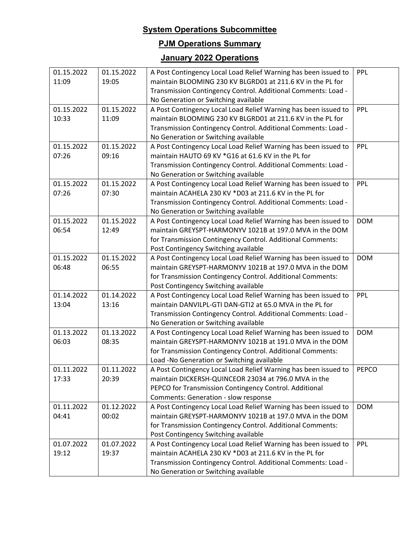# **PJM Operations Summary**

# **January 2022 Operations**

| 01.15.2022<br>11:09 | 01.15.2022<br>19:05 | A Post Contingency Local Load Relief Warning has been issued to<br>maintain BLOOMING 230 KV BLGRD01 at 211.6 KV in the PL for | PPL          |
|---------------------|---------------------|-------------------------------------------------------------------------------------------------------------------------------|--------------|
|                     |                     | Transmission Contingency Control. Additional Comments: Load -                                                                 |              |
|                     |                     | No Generation or Switching available                                                                                          |              |
| 01.15.2022          | 01.15.2022          | A Post Contingency Local Load Relief Warning has been issued to                                                               | PPL          |
| 10:33               | 11:09               | maintain BLOOMING 230 KV BLGRD01 at 211.6 KV in the PL for                                                                    |              |
|                     |                     | Transmission Contingency Control. Additional Comments: Load -                                                                 |              |
|                     |                     | No Generation or Switching available                                                                                          |              |
| 01.15.2022          | 01.15.2022          | A Post Contingency Local Load Relief Warning has been issued to                                                               | PPL          |
| 07:26               | 09:16               | maintain HAUTO 69 KV *G16 at 61.6 KV in the PL for                                                                            |              |
|                     |                     | Transmission Contingency Control. Additional Comments: Load -                                                                 |              |
|                     |                     | No Generation or Switching available                                                                                          |              |
|                     | 01.15.2022          |                                                                                                                               | PPL          |
| 01.15.2022<br>07:26 | 07:30               | A Post Contingency Local Load Relief Warning has been issued to<br>maintain ACAHELA 230 KV *D03 at 211.6 KV in the PL for     |              |
|                     |                     |                                                                                                                               |              |
|                     |                     | Transmission Contingency Control. Additional Comments: Load -                                                                 |              |
|                     |                     | No Generation or Switching available                                                                                          |              |
| 01.15.2022          | 01.15.2022          | A Post Contingency Local Load Relief Warning has been issued to                                                               | <b>DOM</b>   |
| 06:54               | 12:49               | maintain GREYSPT-HARMONYV 1021B at 197.0 MVA in the DOM                                                                       |              |
|                     |                     | for Transmission Contingency Control. Additional Comments:                                                                    |              |
|                     |                     | Post Contingency Switching available                                                                                          |              |
| 01.15.2022          | 01.15.2022          | A Post Contingency Local Load Relief Warning has been issued to                                                               | <b>DOM</b>   |
| 06:48               | 06:55               | maintain GREYSPT-HARMONYV 1021B at 197.0 MVA in the DOM                                                                       |              |
|                     |                     | for Transmission Contingency Control. Additional Comments:                                                                    |              |
|                     |                     | Post Contingency Switching available                                                                                          |              |
| 01.14.2022          | 01.14.2022          | A Post Contingency Local Load Relief Warning has been issued to                                                               | PPL          |
| 13:04               | 13:16               | maintain DANVILPL-GTI DAN-GTI2 at 65.0 MVA in the PL for                                                                      |              |
|                     |                     | Transmission Contingency Control. Additional Comments: Load -                                                                 |              |
|                     |                     | No Generation or Switching available                                                                                          |              |
| 01.13.2022          | 01.13.2022          | A Post Contingency Local Load Relief Warning has been issued to                                                               | <b>DOM</b>   |
| 06:03               | 08:35               | maintain GREYSPT-HARMONYV 1021B at 191.0 MVA in the DOM                                                                       |              |
|                     |                     | for Transmission Contingency Control. Additional Comments:                                                                    |              |
|                     |                     | Load -No Generation or Switching available                                                                                    |              |
| 01.11.2022          | 01.11.2022          | A Post Contingency Local Load Relief Warning has been issued to                                                               | <b>PEPCO</b> |
| 17:33               | 20:39               | maintain DICKERSH-QUINCEOR 23034 at 796.0 MVA in the                                                                          |              |
|                     |                     | PEPCO for Transmission Contingency Control. Additional                                                                        |              |
|                     |                     | Comments: Generation - slow response                                                                                          |              |
| 01.11.2022          | 01.12.2022          | A Post Contingency Local Load Relief Warning has been issued to                                                               | <b>DOM</b>   |
| 04:41               | 00:02               | maintain GREYSPT-HARMONYV 1021B at 197.0 MVA in the DOM                                                                       |              |
|                     |                     | for Transmission Contingency Control. Additional Comments:                                                                    |              |
|                     |                     | Post Contingency Switching available                                                                                          |              |
| 01.07.2022          | 01.07.2022          | A Post Contingency Local Load Relief Warning has been issued to                                                               | PPL          |
| 19:12               | 19:37               | maintain ACAHELA 230 KV *D03 at 211.6 KV in the PL for                                                                        |              |
|                     |                     | Transmission Contingency Control. Additional Comments: Load -                                                                 |              |
|                     |                     | No Generation or Switching available                                                                                          |              |